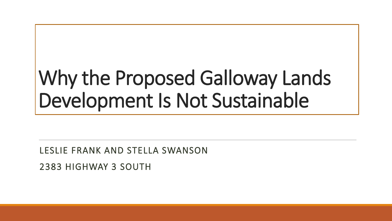# Why the Proposed Galloway Lands Development Is Not Sustainable

LESLIE FRANK AND STELLA SWANSON

2383 HIGHWAY 3 SOUTH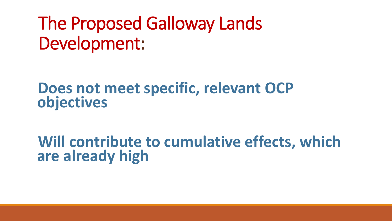# The Proposed Galloway Lands Development:

### **Does not meet specific, relevant OCP objectives**

## **Will contribute to cumulative effects, which are already high**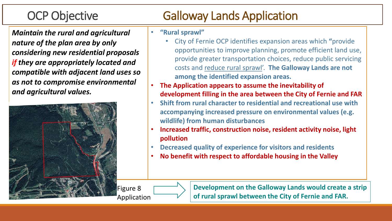*Maintain the rural and agricultural nature of the plan area by only considering new residential proposals if they are appropriately located and compatible with adjacent land uses so as not to compromise environmental and agricultural values.* 



### OCP Objective Galloway Lands Application

#### • **"Rural sprawl"**

- City of Fernie OCP identifies expansion areas which **"**provide opportunities to improve planning, promote efficient land use, provide greater transportation choices, reduce public servicing costs and reduce rural sprawl'. **The Galloway Lands are not among the identified expansion areas.**
- **The Application appears to assume the inevitability of development filling in the area between the City of Fernie and FAR**
- **Shift from rural character to residential and recreational use with accompanying increased pressure on environmental values (e.g. wildlife) from human disturbances**
- **Increased traffic, construction noise, resident activity noise, light pollution**
- **Decreased quality of experience for visitors and residents**
- **No benefit with respect to affordable housing in the Valley**

Figure 8

**Development on the Galloway Lands would create a strip of rural sprawl between the City of Fernie and FAR.**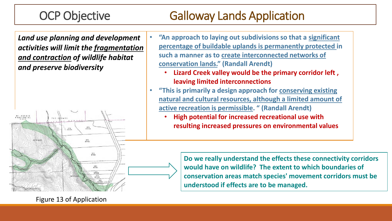#### OCP Objective Galloway Lands Application

*Land use planning and development activities will limit the fragmentation and contraction of wildlife habitat and preserve biodiversity*



- **"An approach to laying out subdivisions so that a significant percentage of buildable uplands is permanently protected in such a manner as to create interconnected networks of conservation lands." (Randall Arendt)**
	- **Lizard Creek valley would be the primary corridor left , leaving limited interconnections**
- **"This is primarily a design approach for conserving existing natural and cultural resources, although a limited amount of active recreation is permissible. " (Randall Arendt)**
	- **High potential for increased recreational use with resulting increased pressures on environmental values**

**Do we really understand the effects these connectivity corridors would have on wildlife? The extent to which boundaries of conservation areas match species' movement corridors must be understood if effects are to be managed.** 

Figure 13 of Application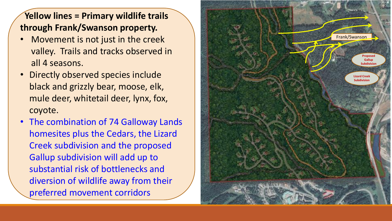#### **Yellow lines = Primary wildlife trails through Frank/Swanson property.**

- Movement is not just in the creek valley. Trails and tracks observed in all 4 seasons.
- Directly observed species include black and grizzly bear, moose, elk, mule deer, whitetail deer, lynx, fox, coyote.
- The combination of 74 Galloway Lands homesites plus the Cedars, the Lizard Creek subdivision and the proposed Gallup subdivision will add up to substantial risk of bottlenecks and diversion of wildlife away from their preferred movement corridors

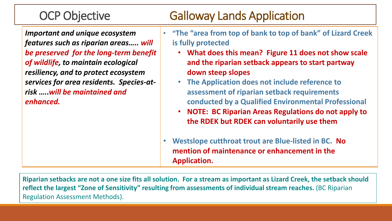#### OCP Objective Galloway Lands Application

*Important and unique ecosystem features such as riparian areas….. will be preserved for the long-term benefit of wildlife, to maintain ecological resiliency, and to protect ecosystem services for area residents. Species-atrisk …..will be maintained and enhanced.* 

- **"The "area from top of bank to top of bank" of Lizard Creek is fully protected**
	- **What does this mean? Figure 11 does not show scale and the riparian setback appears to start partway down steep slopes**
	- **The Application does not include reference to assessment of riparian setback requirements conducted by a Qualified Environmental Professional**
	- **NOTE: BC Riparian Areas Regulations do not apply to the RDEK but RDEK can voluntarily use them**
- **Westslope cutthroat trout are Blue-listed in BC. No mention of maintenance or enhancement in the Application.**

**Riparian setbacks are not a one size fits all solution. For a stream as important as Lizard Creek, the setback should reflect the largest "Zone of Sensitivity" resulting from assessments of individual stream reaches.** (BC Riparian Regulation Assessment Methods).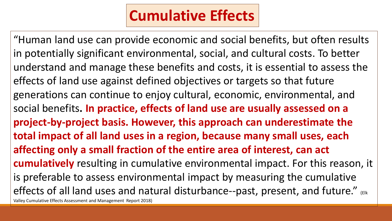## **Cumulative Effects**

"Human land use can provide economic and social benefits, but often results in potentially significant environmental, social, and cultural costs. To better understand and manage these benefits and costs, it is essential to assess the effects of land use against defined objectives or targets so that future generations can continue to enjoy cultural, economic, environmental, and social benefits**. In practice, effects of land use are usually assessed on a project-by-project basis. However, this approach can underestimate the total impact of all land uses in a region, because many small uses, each affecting only a small fraction of the entire area of interest, can act cumulatively** resulting in cumulative environmental impact. For this reason, it is preferable to assess environmental impact by measuring the cumulative effects of all land uses and natural disturbance--past, present, and future." (Elk Valley Cumulative Effects Assessment and Management Report 2018)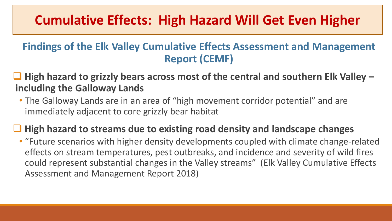### **Cumulative Effects: High Hazard Will Get Even Higher**

#### **Findings of the Elk Valley Cumulative Effects Assessment and Management Report (CEMF)**

- ❑ **High hazard to grizzly bears across most of the central and southern Elk Valley – including the Galloway Lands**
	- The Galloway Lands are in an area of "high movement corridor potential" and are immediately adjacent to core grizzly bear habitat

#### ❑ **High hazard to streams due to existing road density and landscape changes**

• "Future scenarios with higher density developments coupled with climate change-related effects on stream temperatures, pest outbreaks, and incidence and severity of wild fires could represent substantial changes in the Valley streams" (Elk Valley Cumulative Effects Assessment and Management Report 2018)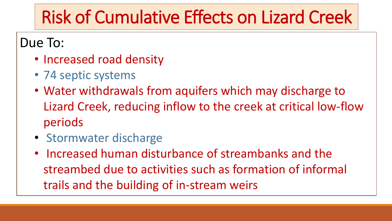# Risk of Cumulative Effects on Lizard Creek

Due To:

- Increased road density
- 74 septic systems
- Water withdrawals from aquifers which may discharge to Lizard Creek, reducing inflow to the creek at critical low-flow periods
- Stormwater discharge
- Increased human disturbance of streambanks and the streambed due to activities such as formation of informal trails and the building of in-stream weirs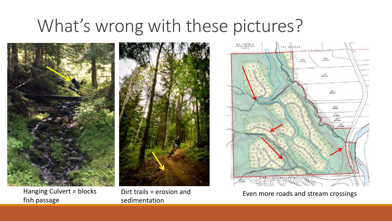# What's wrong with these pictures?



Hanging Culvert = blocks fish passage



Dirt trails = erosion and sedimentation



Even more roads and stream crossings